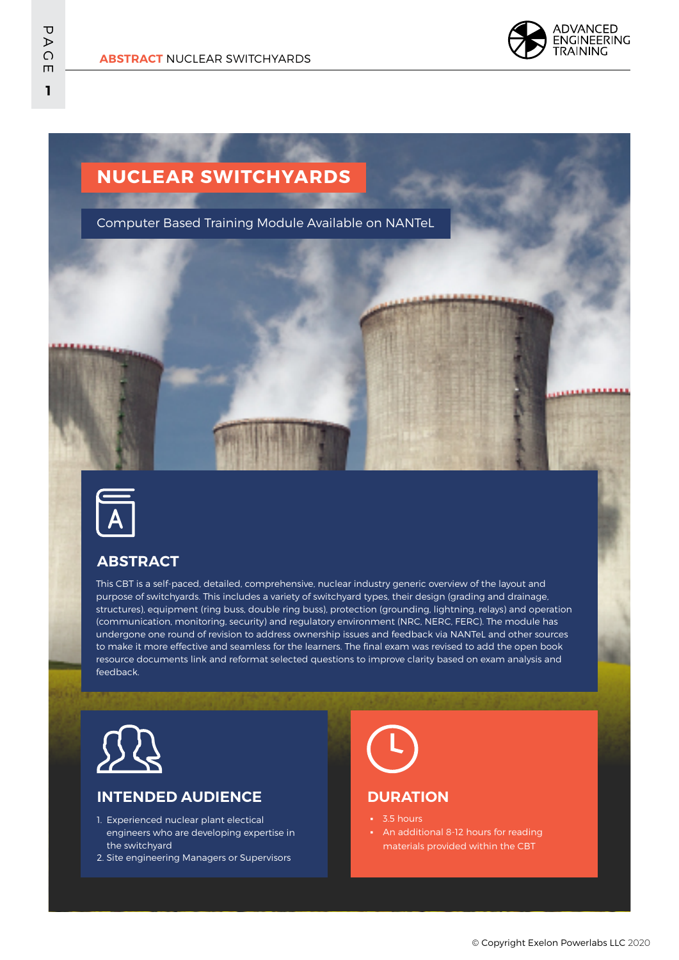

# **NUCLEAR SWITCHYARDS**

Computer Based Training Module Available on NANTeL



### **ABSTRACT**

This CBT is a self-paced, detailed, comprehensive, nuclear industry generic overview of the layout and purpose of switchyards. This includes a variety of switchyard types, their design (grading and drainage, structures), equipment (ring buss, double ring buss), protection (grounding, lightning, relays) and operation (communication, monitoring, security) and regulatory environment (NRC, NERC, FERC). The module has undergone one round of revision to address ownership issues and feedback via NANTeL and other sources to make it more effective and seamless for the learners. The final exam was revised to add the open book resource documents link and reformat selected questions to improve clarity based on exam analysis and feedback.



### **INTENDED AUDIENCE**

- 1. Experienced nuclear plant electical engineers who are developing expertise in the switchyard
- 2. Site engineering Managers or Supervisors



#### **DURATION**

- 3.5 hours
- An additional 8-12 hours for reading materials provided within the CBT